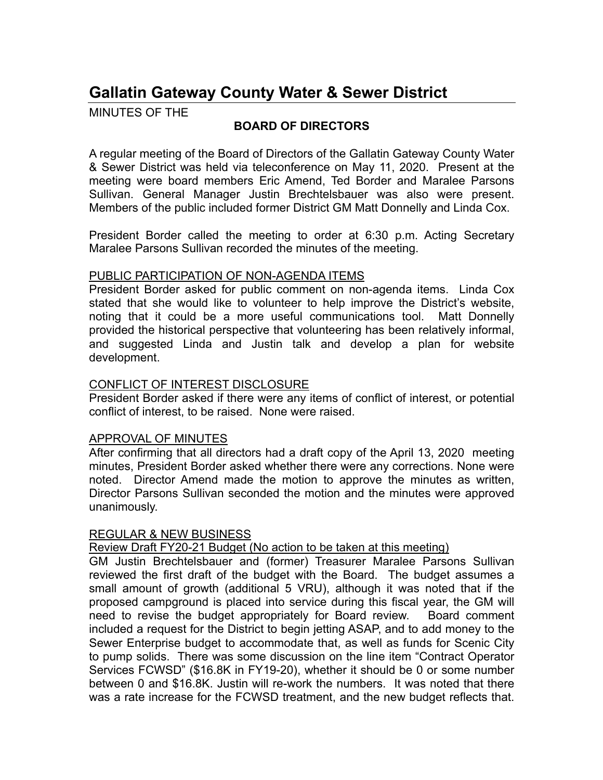# **Gallatin Gateway County Water & Sewer District**

MINUTES OF THE

# **BOARD OF DIRECTORS**

A regular meeting of the Board of Directors of the Gallatin Gateway County Water & Sewer District was held via teleconference on May 11, 2020. Present at the meeting were board members Eric Amend, Ted Border and Maralee Parsons Sullivan. General Manager Justin Brechtelsbauer was also were present. Members of the public included former District GM Matt Donnelly and Linda Cox.

President Border called the meeting to order at 6:30 p.m. Acting Secretary Maralee Parsons Sullivan recorded the minutes of the meeting.

## PUBLIC PARTICIPATION OF NON-AGENDA ITEMS

President Border asked for public comment on non-agenda items. Linda Cox stated that she would like to volunteer to help improve the District's website, noting that it could be a more useful communications tool. Matt Donnelly provided the historical perspective that volunteering has been relatively informal, and suggested Linda and Justin talk and develop a plan for website development.

# CONFLICT OF INTEREST DISCLOSURE

President Border asked if there were any items of conflict of interest, or potential conflict of interest, to be raised. None were raised.

## APPROVAL OF MINUTES

After confirming that all directors had a draft copy of the April 13, 2020 meeting minutes, President Border asked whether there were any corrections. None were noted. Director Amend made the motion to approve the minutes as written, Director Parsons Sullivan seconded the motion and the minutes were approved unanimously.

## REGULAR & NEW BUSINESS

Review Draft FY20-21 Budget (No action to be taken at this meeting)

GM Justin Brechtelsbauer and (former) Treasurer Maralee Parsons Sullivan reviewed the first draft of the budget with the Board. The budget assumes a small amount of growth (additional 5 VRU), although it was noted that if the proposed campground is placed into service during this fiscal year, the GM will need to revise the budget appropriately for Board review. Board comment included a request for the District to begin jetting ASAP, and to add money to the Sewer Enterprise budget to accommodate that, as well as funds for Scenic City to pump solids. There was some discussion on the line item "Contract Operator Services FCWSD" (\$16.8K in FY19-20), whether it should be 0 or some number between 0 and \$16.8K. Justin will re-work the numbers. It was noted that there was a rate increase for the FCWSD treatment, and the new budget reflects that.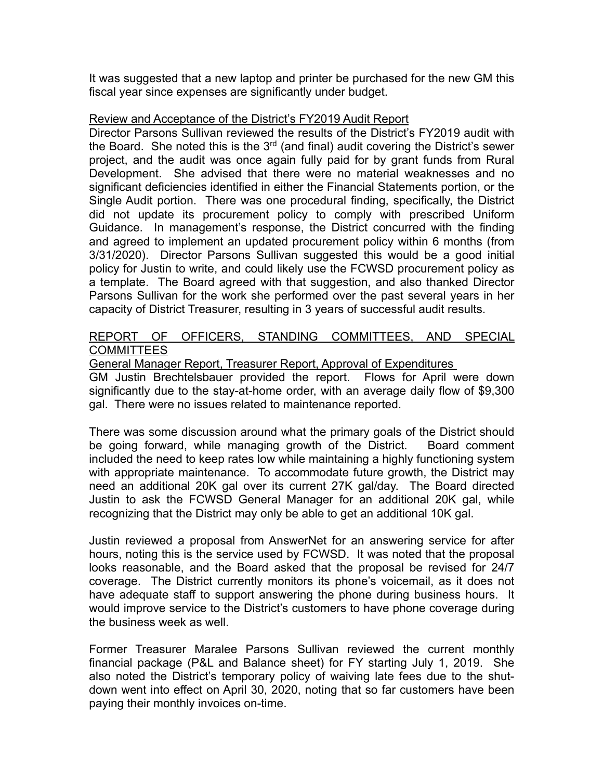It was suggested that a new laptop and printer be purchased for the new GM this fiscal year since expenses are significantly under budget.

#### Review and Acceptance of the District's FY2019 Audit Report

Director Parsons Sullivan reviewed the results of the District's FY2019 audit with the Board. She noted this is the  $3<sup>rd</sup>$  (and final) audit covering the District's sewer project, and the audit was once again fully paid for by grant funds from Rural Development. She advised that there were no material weaknesses and no significant deficiencies identified in either the Financial Statements portion, or the Single Audit portion. There was one procedural finding, specifically, the District did not update its procurement policy to comply with prescribed Uniform Guidance. In management's response, the District concurred with the finding and agreed to implement an updated procurement policy within 6 months (from 3/31/2020). Director Parsons Sullivan suggested this would be a good initial policy for Justin to write, and could likely use the FCWSD procurement policy as a template. The Board agreed with that suggestion, and also thanked Director Parsons Sullivan for the work she performed over the past several years in her capacity of District Treasurer, resulting in 3 years of successful audit results.

#### REPORT OF OFFICERS, STANDING COMMITTEES, AND SPECIAL **COMMITTEES**

#### General Manager Report, Treasurer Report, Approval of Expenditures

GM Justin Brechtelsbauer provided the report. Flows for April were down significantly due to the stay-at-home order, with an average daily flow of \$9,300 gal. There were no issues related to maintenance reported.

There was some discussion around what the primary goals of the District should be going forward, while managing growth of the District. Board comment included the need to keep rates low while maintaining a highly functioning system with appropriate maintenance. To accommodate future growth, the District may need an additional 20K gal over its current 27K gal/day. The Board directed Justin to ask the FCWSD General Manager for an additional 20K gal, while recognizing that the District may only be able to get an additional 10K gal.

Justin reviewed a proposal from AnswerNet for an answering service for after hours, noting this is the service used by FCWSD. It was noted that the proposal looks reasonable, and the Board asked that the proposal be revised for 24/7 coverage. The District currently monitors its phone's voicemail, as it does not have adequate staff to support answering the phone during business hours. It would improve service to the District's customers to have phone coverage during the business week as well.

Former Treasurer Maralee Parsons Sullivan reviewed the current monthly financial package (P&L and Balance sheet) for FY starting July 1, 2019. She also noted the District's temporary policy of waiving late fees due to the shutdown went into effect on April 30, 2020, noting that so far customers have been paying their monthly invoices on-time.